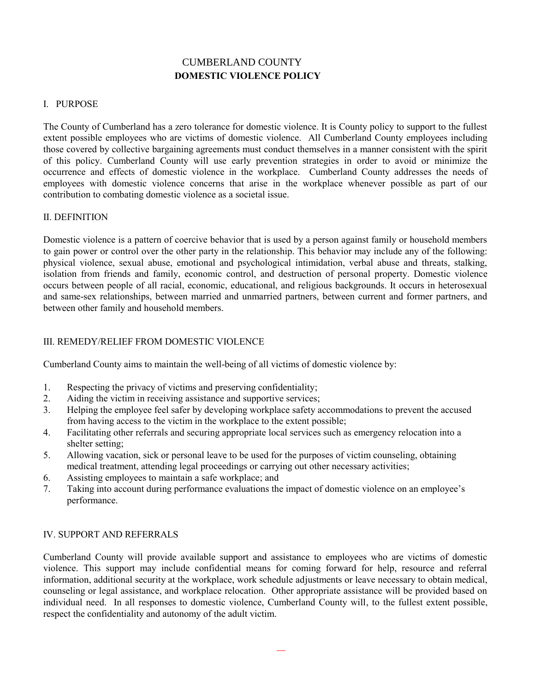# **DOMESTIC VIOLENCE POLICY** CUMBERLAND COUNTY

#### I. PURPOSE

The County of Cumberland has a zero tolerance for domestic violence. It is County policy to support to the fullest extent possible employees who are victims of domestic violence. All Cumberland County employees including those covered by collective bargaining agreements must conduct themselves in a manner consistent with the spirit of this policy. Cumberland County will use early prevention strategies in order to avoid or minimize the occurrence and effects of domestic violence in the workplace. Cumberland County addresses the needs of employees with domestic violence concerns that arise in the workplace whenever possible as part of our contribution to combating domestic violence as a societal issue.

### II. DEFINITION

Domestic violence is a pattern of coercive behavior that is used by a person against family or household members to gain power or control over the other party in the relationship. This behavior may include any of the following: physical violence, sexual abuse, emotional and psychological intimidation, verbal abuse and threats, stalking, isolation from friends and family, economic control, and destruction of personal property. Domestic violence occurs between people of all racial, economic, educational, and religious backgrounds. It occurs in heterosexual and same-sex relationships, between married and unmarried partners, between current and former partners, and between other family and household members.

## III. REMEDY/RELIEF FROM DOMESTIC VIOLENCE

Cumberland County aims to maintain the well-being of all victims of domestic violence by:

- 1. Respecting the privacy of victims and preserving confidentiality;
- 2. Aiding the victim in receiving assistance and supportive services;
- 3. Helping the employee feel safer by developing workplace safety accommodations to prevent the accused from having access to the victim in the workplace to the extent possible;
- 4. Facilitating other referrals and securing appropriate local services such as emergency relocation into a shelter setting;
- 5. Allowing vacation, sick or personal leave to be used for the purposes of victim counseling, obtaining medical treatment, attending legal proceedings or carrying out other necessary activities;
- 6. Assisting employees to maintain a safe workplace; and
- 7. Taking into account during performance evaluations the impact of domestic violence on an employee's performance.

#### IV. SUPPORT AND REFERRALS

Cumberland County will provide available support and assistance to employees who are victims of domestic violence. This support may include confidential means for coming forward for help, resource and referral information, additional security at the workplace, work schedule adjustments or leave necessary to obtain medical, counseling or legal assistance, and workplace relocation. Other appropriate assistance will be provided based on individual need. In all responses to domestic violence, Cumberland County will, to the fullest extent possible, respect the confidentiality and autonomy of the adult victim.